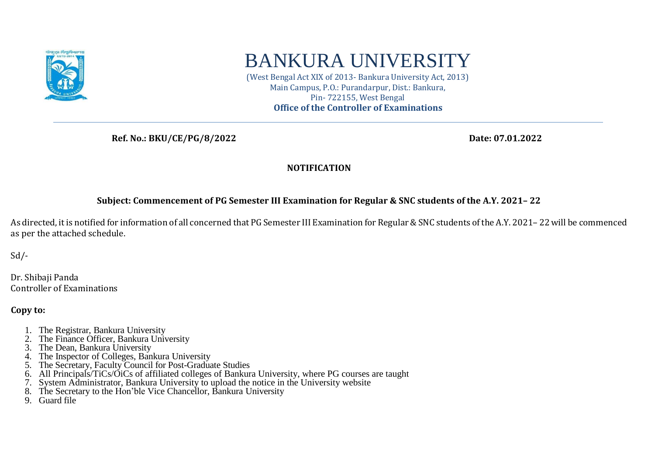

# BANKURA UNIVERSITY

(West Bengal Act XIX of 2013- Bankura University Act, 2013) Main Campus, P.O.: Purandarpur, Dist.: Bankura, Pin- 722155, West Bengal **Office of the Controller of Examinations**

 **Ref. No.: BKU/CE/PG/8/2022 Date: 07.01.2022**

#### **NOTIFICATION**

#### **Subject: Commencement of PG Semester III Examination for Regular & SNC students of the A.Y. 2021– 22**

As directed, it is notified for information of all concerned that PG Semester III Examination for Regular & SNC students of the A.Y. 2021– 22 will be commenced as per the attached schedule.

 $Sd$  /-

Dr. Shibaji Panda Controller of Examinations

**Copy to:** 

- 1. The Registrar, Bankura University
- 2. The Finance Officer, Bankura University
- 3. The Dean, Bankura University
- 4. The Inspector of Colleges, Bankura University
- 5. The Secretary, Faculty Council for Post-Graduate Studies
- 6. All Principals/TiCs/OiCs of affiliated colleges of Bankura University, where PG courses are taught
- 7. System Administrator, Bankura University to upload the notice in the University website
- 8. The Secretary to the Hon'ble Vice Chancellor, Bankura University
- 9. Guard file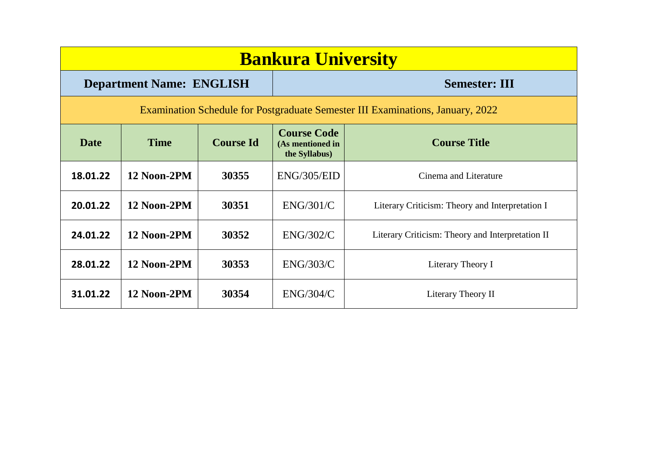| <b>Bankura University</b>                                                      |                                 |                  |                                                         |                                                  |  |  |
|--------------------------------------------------------------------------------|---------------------------------|------------------|---------------------------------------------------------|--------------------------------------------------|--|--|
|                                                                                | <b>Department Name: ENGLISH</b> |                  | <b>Semester: III</b>                                    |                                                  |  |  |
| Examination Schedule for Postgraduate Semester III Examinations, January, 2022 |                                 |                  |                                                         |                                                  |  |  |
| <b>Date</b>                                                                    | <b>Time</b>                     | <b>Course Id</b> | <b>Course Code</b><br>(As mentioned in<br>the Syllabus) | <b>Course Title</b>                              |  |  |
| 18.01.22                                                                       | 12 Noon-2PM                     | 30355            | ENG/305/EID                                             | Cinema and Literature                            |  |  |
| 20.01.22                                                                       | 12 Noon-2PM                     | 30351            | ENG/301/C                                               | Literary Criticism: Theory and Interpretation I  |  |  |
| 24.01.22                                                                       | 12 Noon-2PM                     | 30352            | <b>ENG/302/C</b>                                        | Literary Criticism: Theory and Interpretation II |  |  |
| 28.01.22                                                                       | 12 Noon-2PM                     | 30353            | ENG/303/C                                               | Literary Theory I                                |  |  |
| 31.01.22                                                                       | 12 Noon-2PM                     | 30354            | ENG/304/C                                               | Literary Theory II                               |  |  |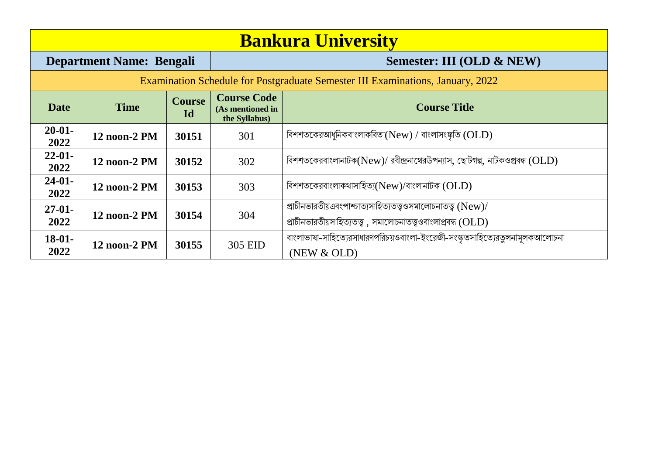| <b>Bankura University</b>                                                      |                                 |                     |                                                         |                                                                                                                                 |  |  |
|--------------------------------------------------------------------------------|---------------------------------|---------------------|---------------------------------------------------------|---------------------------------------------------------------------------------------------------------------------------------|--|--|
|                                                                                | <b>Department Name: Bengali</b> |                     | Semester: III (OLD & NEW)                               |                                                                                                                                 |  |  |
| Examination Schedule for Postgraduate Semester III Examinations, January, 2022 |                                 |                     |                                                         |                                                                                                                                 |  |  |
| <b>Date</b>                                                                    | <b>Time</b>                     | <b>Course</b><br>Id | <b>Course Code</b><br>(As mentioned in<br>the Syllabus) | <b>Course Title</b>                                                                                                             |  |  |
| $20 - 01 -$<br>2022                                                            | 12 noon-2 PM                    | 30151               | 301                                                     | বিশশতকেরআধুনিকবাংলাকবিতা $(New)$ / বাংলাসংষ্কৃতি $(OLD)$                                                                        |  |  |
| $22 - 01$<br>2022                                                              | 12 noon-2 PM                    | 30152               | 302                                                     | বিশশতকেরবাংলানাটক(New)/ রবীন্দ্রনাথেরউপন্যাস, ছোটগল্প, নাটকওপ্রবন্ধ (OLD)                                                       |  |  |
| $24-01-$<br>2022                                                               | 12 noon-2 PM                    | 30153               | 303                                                     | বিশশতকেরবাংলাকথাসাহিত্য( $New$ )/বাংলানাটক ( $OLD$ )                                                                            |  |  |
| $27-01-$<br>2022                                                               | 12 noon-2 PM                    | 30154               | 304                                                     | প্রাচীনভারতীয়এবংপাশ্চাত্যসাহিত্যতত্ত্বওসমালোচনাতত্ত্ব (New)/<br>প্রাচীনভারতীয়সাহিত্যতত্ত্ব, সমালোচনাতত্ত্বওবাংলাপ্রবন্ধ (OLD) |  |  |
| $18-01-$<br>2022                                                               | 12 noon-2 PM                    | 30155               | 305 EID                                                 | বাংলাভাষা-সাহিত্যেরসাধারণপরিচয়ওবাংলা-ইংরেজী-সংস্কৃতসাহিত্যেরতুলনামূলকআলোচনা<br>(NEW & OLD)                                     |  |  |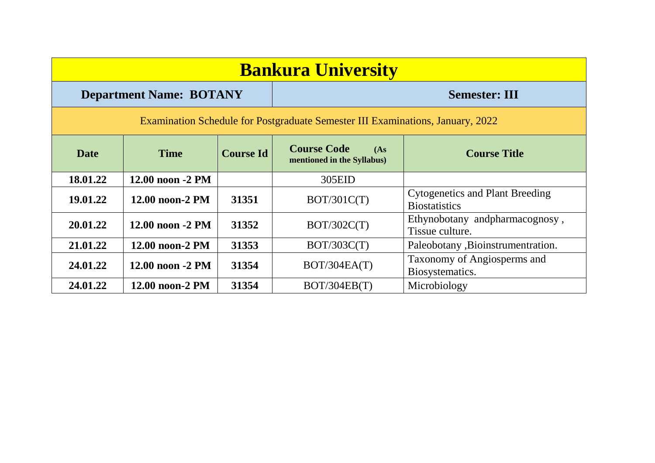| <b>Bankura University</b>                                                      |                      |                  |                                                          |                                                                |  |  |
|--------------------------------------------------------------------------------|----------------------|------------------|----------------------------------------------------------|----------------------------------------------------------------|--|--|
| <b>Semester: III</b><br><b>Department Name: BOTANY</b>                         |                      |                  |                                                          |                                                                |  |  |
| Examination Schedule for Postgraduate Semester III Examinations, January, 2022 |                      |                  |                                                          |                                                                |  |  |
| <b>Date</b>                                                                    | <b>Time</b>          | <b>Course Id</b> | <b>Course Code</b><br>(As)<br>mentioned in the Syllabus) | <b>Course Title</b>                                            |  |  |
| 18.01.22                                                                       | 12.00 noon -2 PM     |                  | 305EID                                                   |                                                                |  |  |
| 19.01.22                                                                       | 12.00 noon-2 PM      | 31351            | BOT/301C(T)                                              | <b>Cytogenetics and Plant Breeding</b><br><b>Biostatistics</b> |  |  |
| 20.01.22                                                                       | $12.00$ noon $-2$ PM | 31352            | BOT/302C(T)                                              | Ethynobotany and pharmacognosy,<br>Tissue culture.             |  |  |
| 21.01.22                                                                       | 12.00 noon-2 PM      | 31353            | BOT/303C(T)                                              | Paleobotany , Bioinstrument ration.                            |  |  |
| 24.01.22                                                                       | 12.00 noon -2 PM     | 31354            | BOT/304EA(T)                                             | Taxonomy of Angiosperms and<br>Biosystematics.                 |  |  |
| 24.01.22                                                                       | 12.00 noon-2 PM      | 31354            | BOT/304EB(T)                                             | Microbiology                                                   |  |  |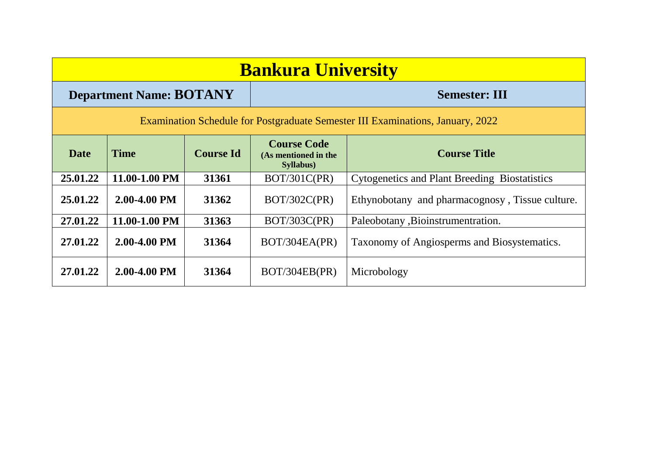| <b>Bankura University</b>                                                      |                                |                  |                                                                 |                                                      |  |
|--------------------------------------------------------------------------------|--------------------------------|------------------|-----------------------------------------------------------------|------------------------------------------------------|--|
|                                                                                | <b>Department Name: BOTANY</b> |                  |                                                                 | <b>Semester: III</b>                                 |  |
| Examination Schedule for Postgraduate Semester III Examinations, January, 2022 |                                |                  |                                                                 |                                                      |  |
| <b>Date</b>                                                                    | <b>Time</b>                    | <b>Course Id</b> | <b>Course Code</b><br>(As mentioned in the<br><b>Syllabus</b> ) | <b>Course Title</b>                                  |  |
| 25.01.22                                                                       | 11.00-1.00 PM                  | 31361            | BOT/301C(PR)                                                    | <b>Cytogenetics and Plant Breeding Biostatistics</b> |  |
| 25.01.22                                                                       | 2.00-4.00 PM                   | 31362            | BOT/302C(PR)                                                    | Ethynobotany and pharmacognosy, Tissue culture.      |  |
| 27.01.22                                                                       | 11.00-1.00 PM                  | 31363            | <b>BOT/303C(PR)</b>                                             | Paleobotany , Bioinstrument ration.                  |  |
| 27.01.22                                                                       | 2.00-4.00 PM                   | 31364            | BOT/304EA(PR)                                                   | Taxonomy of Angiosperms and Biosystematics.          |  |
| 27.01.22                                                                       | 2.00-4.00 PM                   | 31364            | BOT/304EB(PR)                                                   | Microbology                                          |  |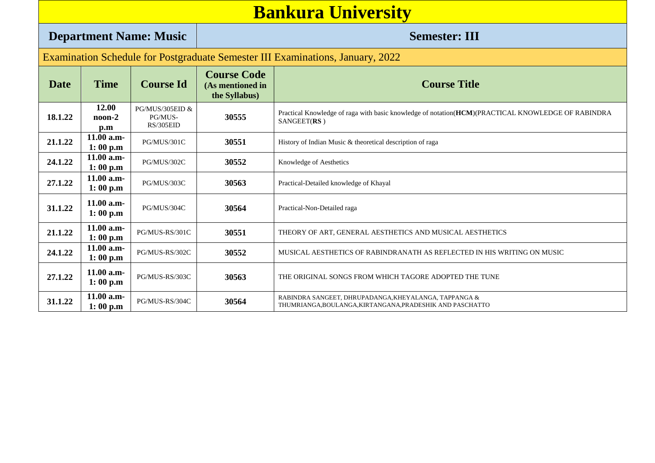|                                                                                | <b>Bankura University</b>                           |                                                    |                                                                    |                                                                                                                    |  |  |
|--------------------------------------------------------------------------------|-----------------------------------------------------|----------------------------------------------------|--------------------------------------------------------------------|--------------------------------------------------------------------------------------------------------------------|--|--|
| <b>Department Name: Music</b>                                                  |                                                     |                                                    |                                                                    | <b>Semester: III</b>                                                                                               |  |  |
| Examination Schedule for Postgraduate Semester III Examinations, January, 2022 |                                                     |                                                    |                                                                    |                                                                                                                    |  |  |
| <b>Date</b>                                                                    | <b>Time</b>                                         | <b>Course Id</b>                                   | <b>Course Code</b><br>(As mentioned in<br>the Syllabus)            | <b>Course Title</b>                                                                                                |  |  |
| 18.1.22                                                                        | 12.00<br>$\text{noon-2}$<br>$\mathbf{p}.\mathbf{m}$ | <b>PG/MUS/305EID &amp;</b><br>PG/MUS-<br>RS/305EID | 30555                                                              | Practical Knowledge of raga with basic knowledge of notation(HCM)(PRACTICAL KNOWLEDGE OF RABINDRA<br>SANGEET(RS)   |  |  |
| 21.1.22                                                                        | $11.00$ a.m-<br>1:00 p.m                            | PG/MUS/301C                                        | 30551<br>History of Indian Music & theoretical description of raga |                                                                                                                    |  |  |
| 24.1.22                                                                        | 11.00 a.m-<br>1:00 p.m                              | PG/MUS/302C                                        | 30552                                                              | Knowledge of Aesthetics                                                                                            |  |  |
| 27.1.22                                                                        | 11.00 a.m-<br>1:00 p.m                              | PG/MUS/303C                                        | 30563                                                              | Practical-Detailed knowledge of Khayal                                                                             |  |  |
| 31.1.22                                                                        | 11.00 a.m-<br>1:00 p.m                              | PG/MUS/304C                                        | 30564                                                              | Practical-Non-Detailed raga                                                                                        |  |  |
| 21.1.22                                                                        | 11.00 a.m-<br>1:00 p.m                              | PG/MUS-RS/301C                                     | 30551                                                              | THEORY OF ART, GENERAL AESTHETICS AND MUSICAL AESTHETICS                                                           |  |  |
| 24.1.22                                                                        | 11.00 a.m-<br>1:00 p.m                              | PG/MUS-RS/302C                                     | 30552                                                              | MUSICAL AESTHETICS OF RABINDRANATH AS REFLECTED IN HIS WRITING ON MUSIC                                            |  |  |
| 27.1.22                                                                        | 11.00 a.m-<br>1:00 p.m                              | PG/MUS-RS/303C                                     | 30563                                                              | THE ORIGINAL SONGS FROM WHICH TAGORE ADOPTED THE TUNE                                                              |  |  |
| 31.1.22                                                                        | 11.00 a.m-<br>1:00 p.m                              | PG/MUS-RS/304C                                     | 30564                                                              | RABINDRA SANGEET, DHRUPADANGA, KHEYALANGA, TAPPANGA &<br>THUMRIANGA, BOULANGA, KIRTANGANA, PRADESHIK AND PASCHATTO |  |  |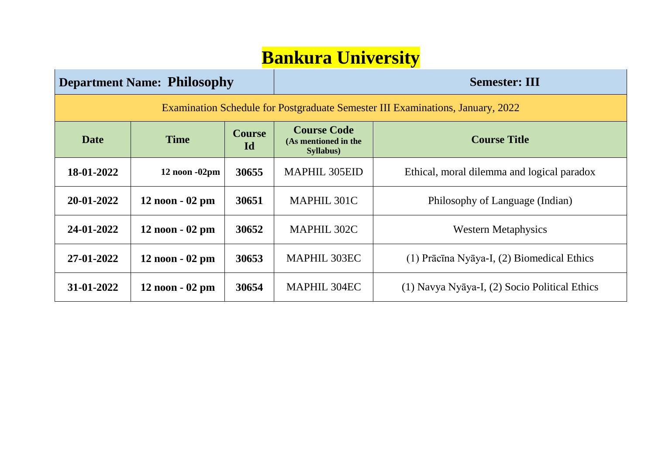### **Bankura University**

| <b>Department Name: Philosophy</b>                                             |                                    |       | <b>Semester: III</b>                                    |                                                |  |  |
|--------------------------------------------------------------------------------|------------------------------------|-------|---------------------------------------------------------|------------------------------------------------|--|--|
| Examination Schedule for Postgraduate Semester III Examinations, January, 2022 |                                    |       |                                                         |                                                |  |  |
| Date                                                                           | <b>Course</b><br><b>Time</b><br>Id |       | <b>Course Code</b><br>(As mentioned in the<br>Syllabus) | <b>Course Title</b>                            |  |  |
| 18-01-2022                                                                     | $12$ noon $-02$ pm                 | 30655 | <b>MAPHIL 305EID</b>                                    | Ethical, moral dilemma and logical paradox     |  |  |
| 20-01-2022                                                                     | $12$ noon $-02$ pm                 | 30651 | MAPHIL 301C                                             | Philosophy of Language (Indian)                |  |  |
| 24-01-2022                                                                     | $12$ noon $-02$ pm                 | 30652 | MAPHIL 302C                                             | <b>Western Metaphysics</b>                     |  |  |
| 27-01-2022                                                                     | $12$ noon $-02$ pm                 | 30653 | <b>MAPHIL 303EC</b>                                     | $(1)$ Prācīna Nyāya-I, $(2)$ Biomedical Ethics |  |  |
| 31-01-2022                                                                     | $12$ noon $-02$ pm                 | 30654 | <b>MAPHIL 304EC</b>                                     | (1) Navya Nyāya-I, (2) Socio Political Ethics  |  |  |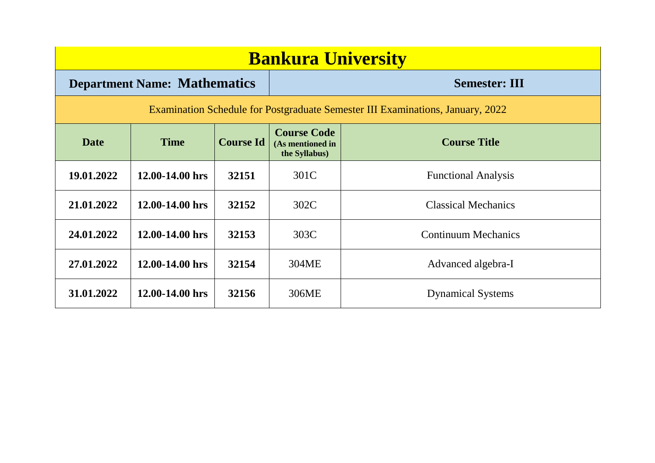| <b>Bankura University</b>                                                      |                                     |                  |                                                         |                            |  |  |
|--------------------------------------------------------------------------------|-------------------------------------|------------------|---------------------------------------------------------|----------------------------|--|--|
|                                                                                | <b>Department Name: Mathematics</b> |                  |                                                         | <b>Semester: III</b>       |  |  |
| Examination Schedule for Postgraduate Semester III Examinations, January, 2022 |                                     |                  |                                                         |                            |  |  |
| <b>Date</b>                                                                    | <b>Time</b>                         | <b>Course Id</b> | <b>Course Code</b><br>(As mentioned in<br>the Syllabus) | <b>Course Title</b>        |  |  |
| 19.01.2022                                                                     | $12.00 - 14.00$ hrs                 | 32151            | 301C                                                    | <b>Functional Analysis</b> |  |  |
| 21.01.2022                                                                     | 12.00-14.00 hrs                     | 32152            | 302C                                                    | <b>Classical Mechanics</b> |  |  |
| 24.01.2022                                                                     | 12.00-14.00 hrs                     | 32153            | 303C                                                    | <b>Continuum Mechanics</b> |  |  |
| 27.01.2022                                                                     | 12.00-14.00 hrs                     | 32154            | 304ME                                                   | Advanced algebra-I         |  |  |
| 31.01.2022                                                                     | 12.00-14.00 hrs                     | 32156            | 306ME                                                   | <b>Dynamical Systems</b>   |  |  |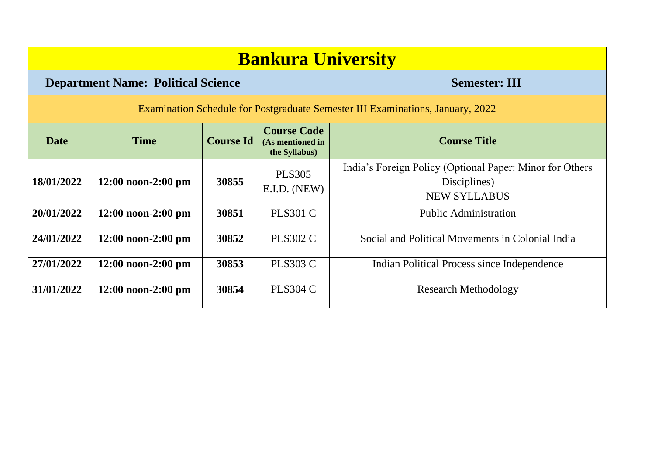| <b>Bankura University</b> |                                                                                |                  |                                                         |                                                                                                 |  |  |  |
|---------------------------|--------------------------------------------------------------------------------|------------------|---------------------------------------------------------|-------------------------------------------------------------------------------------------------|--|--|--|
|                           | <b>Department Name: Political Science</b>                                      |                  |                                                         | <b>Semester: III</b>                                                                            |  |  |  |
|                           | Examination Schedule for Postgraduate Semester III Examinations, January, 2022 |                  |                                                         |                                                                                                 |  |  |  |
| <b>Date</b>               | <b>Time</b>                                                                    | <b>Course Id</b> | <b>Course Code</b><br>(As mentioned in<br>the Syllabus) | <b>Course Title</b>                                                                             |  |  |  |
| 18/01/2022                | $12:00$ noon-2:00 pm                                                           | 30855            | <b>PLS305</b><br>E.I.D. (NEW)                           | India's Foreign Policy (Optional Paper: Minor for Others<br>Disciplines)<br><b>NEW SYLLABUS</b> |  |  |  |
| 20/01/2022                | $12:00$ noon-2:00 pm                                                           | 30851            | <b>PLS301 C</b>                                         | <b>Public Administration</b>                                                                    |  |  |  |
| 24/01/2022                | $12:00$ noon-2:00 pm                                                           | 30852            | <b>PLS302 C</b>                                         | Social and Political Movements in Colonial India                                                |  |  |  |
| 27/01/2022                | $12:00$ noon-2:00 pm                                                           | 30853            | <b>PLS303 C</b>                                         | Indian Political Process since Independence                                                     |  |  |  |
| 31/01/2022                | $12:00$ noon-2:00 pm                                                           | 30854            | <b>PLS304 C</b>                                         | <b>Research Methodology</b>                                                                     |  |  |  |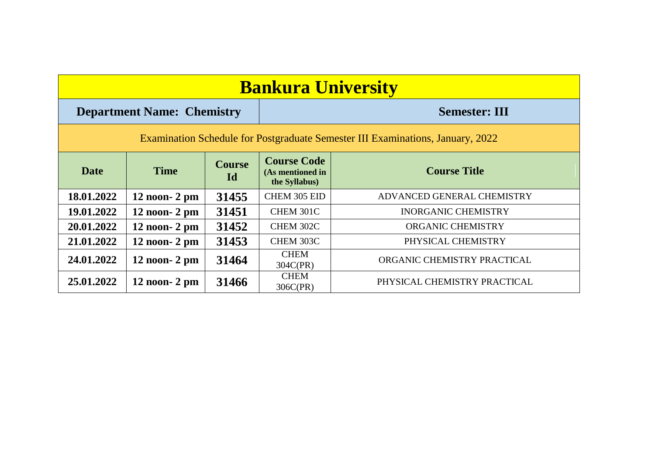| <b>Bankura University</b>                                                      |                                   |                     |                                                         |                              |  |
|--------------------------------------------------------------------------------|-----------------------------------|---------------------|---------------------------------------------------------|------------------------------|--|
|                                                                                | <b>Department Name: Chemistry</b> |                     | <b>Semester: III</b>                                    |                              |  |
| Examination Schedule for Postgraduate Semester III Examinations, January, 2022 |                                   |                     |                                                         |                              |  |
| <b>Date</b>                                                                    | <b>Time</b>                       | <b>Course</b><br>Id | <b>Course Code</b><br>(As mentioned in<br>the Syllabus) | <b>Course Title</b>          |  |
| 18.01.2022                                                                     | $12$ noon- $2$ pm                 | 31455               | CHEM 305 EID                                            | ADVANCED GENERAL CHEMISTRY   |  |
| 19.01.2022                                                                     | $12$ noon- $2$ pm                 | 31451               | CHEM 301C                                               | <b>INORGANIC CHEMISTRY</b>   |  |
| 20.01.2022                                                                     | $12$ noon- $2$ pm                 | 31452               | CHEM 302C                                               | <b>ORGANIC CHEMISTRY</b>     |  |
| 21.01.2022                                                                     | $12$ noon- $2$ pm                 | 31453               | CHEM 303C                                               | PHYSICAL CHEMISTRY           |  |
| 24.01.2022                                                                     | $12$ noon- $2$ pm                 | 31464               | <b>CHEM</b><br>304C(PR)                                 | ORGANIC CHEMISTRY PRACTICAL  |  |
| 25.01.2022                                                                     | $12$ noon- $2$ pm                 | 31466               | <b>CHEM</b><br>306C(PR)                                 | PHYSICAL CHEMISTRY PRACTICAL |  |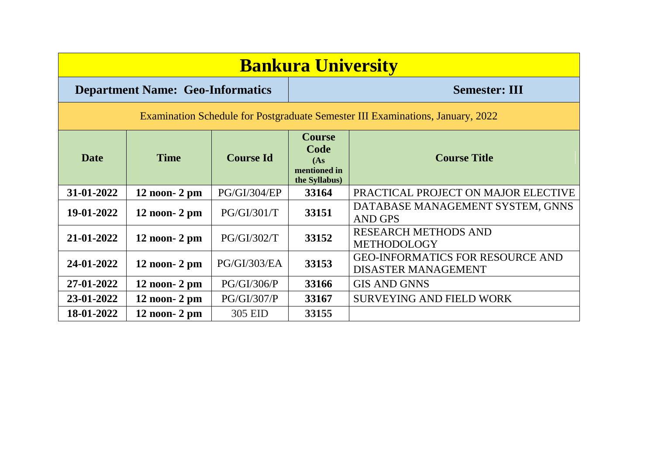| <b>Bankura University</b>                                                      |                   |                     |                                                                |                                                                       |  |  |
|--------------------------------------------------------------------------------|-------------------|---------------------|----------------------------------------------------------------|-----------------------------------------------------------------------|--|--|
| <b>Department Name: Geo-Informatics</b>                                        |                   |                     | <b>Semester: III</b>                                           |                                                                       |  |  |
| Examination Schedule for Postgraduate Semester III Examinations, January, 2022 |                   |                     |                                                                |                                                                       |  |  |
| <b>Date</b>                                                                    | <b>Time</b>       | <b>Course Id</b>    | <b>Course</b><br>Code<br>(As)<br>mentioned in<br>the Syllabus) | <b>Course Title</b>                                                   |  |  |
| 31-01-2022                                                                     | $12$ noon- $2$ pm | <b>PG/GI/304/EP</b> | 33164                                                          | PRACTICAL PROJECT ON MAJOR ELECTIVE                                   |  |  |
| 19-01-2022                                                                     | $12$ noon- $2$ pm | PG/GI/301/T         | 33151                                                          | DATABASE MANAGEMENT SYSTEM, GNNS<br><b>AND GPS</b>                    |  |  |
| 21-01-2022                                                                     | $12$ noon- $2$ pm | PG/GI/302/T         | 33152                                                          | <b>RESEARCH METHODS AND</b><br><b>METHODOLOGY</b>                     |  |  |
| 24-01-2022                                                                     | $12$ noon- $2$ pm | PG/GI/303/EA        | 33153                                                          | <b>GEO-INFORMATICS FOR RESOURCE AND</b><br><b>DISASTER MANAGEMENT</b> |  |  |
| 27-01-2022                                                                     | $12$ noon- $2$ pm | <b>PG/GI/306/P</b>  | 33166                                                          | <b>GIS AND GNNS</b>                                                   |  |  |
| 23-01-2022                                                                     | $12$ noon- $2$ pm | PG/GI/307/P         | 33167                                                          | <b>SURVEYING AND FIELD WORK</b>                                       |  |  |
| 18-01-2022                                                                     | $12$ noon- $2$ pm | 305 EID             | 33155                                                          |                                                                       |  |  |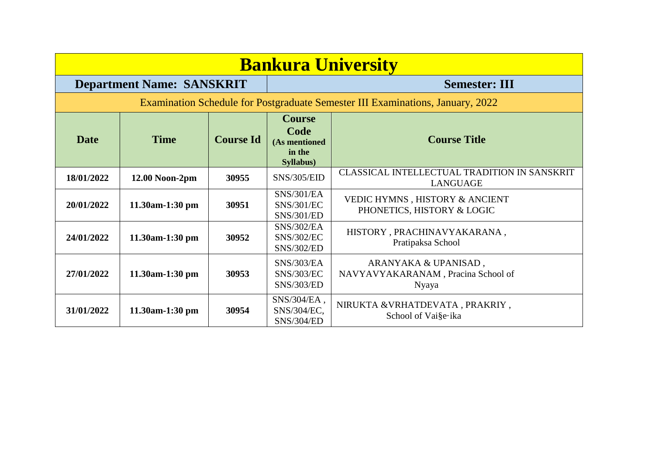| <b>Bankura University</b> |                                  |                  |                                                               |                                                                                |  |
|---------------------------|----------------------------------|------------------|---------------------------------------------------------------|--------------------------------------------------------------------------------|--|
|                           | <b>Department Name: SANSKRIT</b> |                  |                                                               | <b>Semester: III</b>                                                           |  |
|                           |                                  |                  |                                                               | Examination Schedule for Postgraduate Semester III Examinations, January, 2022 |  |
| <b>Date</b>               | <b>Time</b>                      | <b>Course Id</b> | <b>Course</b><br>Code<br>(As mentioned<br>in the<br>Syllabus) | <b>Course Title</b>                                                            |  |
| 18/01/2022                | 12.00 Noon-2pm                   | 30955            | <b>SNS/305/EID</b>                                            | CLASSICAL INTELLECTUAL TRADITION IN SANSKRIT<br><b>LANGUAGE</b>                |  |
| 20/01/2022                | 11.30am-1:30 pm                  | 30951            | <b>SNS/301/EA</b><br><b>SNS/301/EC</b><br><b>SNS/301/ED</b>   | VEDIC HYMNS, HISTORY & ANCIENT<br>PHONETICS, HISTORY & LOGIC                   |  |
| 24/01/2022                | 11.30am-1:30 pm                  | 30952            | <b>SNS/302/EA</b><br><b>SNS/302/EC</b><br><b>SNS/302/ED</b>   | HISTORY, PRACHINAVYAKARANA,<br>Pratipaksa School                               |  |
| 27/01/2022                | 11.30am-1:30 pm                  | 30953            | <b>SNS/303/EA</b><br><b>SNS/303/EC</b><br><b>SNS/303/ED</b>   | ARANYAKA & UPANISAD,<br>NAVYAVYAKARANAM, Pracina School of<br>Nyaya            |  |
| 31/01/2022                | 11.30am-1:30 pm                  | 30954            | SNS/304/EA,<br>SNS/304/EC,<br><b>SNS/304/ED</b>               | NIRUKTA & VRHATDEVATA, PRAKRIY,<br>School of Vai§e∙ika                         |  |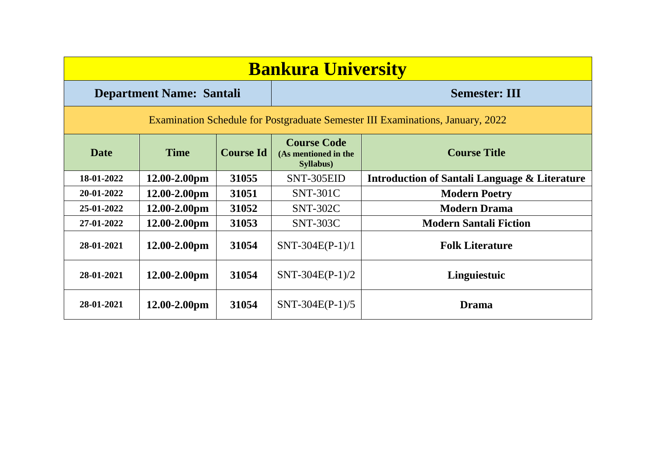| <b>Bankura University</b>                                                      |                                 |                  |                                                                 |                                                          |  |  |
|--------------------------------------------------------------------------------|---------------------------------|------------------|-----------------------------------------------------------------|----------------------------------------------------------|--|--|
|                                                                                | <b>Department Name: Santali</b> |                  |                                                                 | <b>Semester: III</b>                                     |  |  |
| Examination Schedule for Postgraduate Semester III Examinations, January, 2022 |                                 |                  |                                                                 |                                                          |  |  |
| <b>Date</b>                                                                    | <b>Time</b>                     | <b>Course Id</b> | <b>Course Code</b><br>(As mentioned in the<br><b>Syllabus</b> ) | <b>Course Title</b>                                      |  |  |
| 18-01-2022                                                                     | $12.00 - 2.00$ pm               | 31055            | SNT-305EID                                                      | <b>Introduction of Santali Language &amp; Literature</b> |  |  |
| 20-01-2022                                                                     | $12.00 - 2.00$ pm               | 31051            | <b>SNT-301C</b>                                                 | <b>Modern Poetry</b>                                     |  |  |
| 25-01-2022                                                                     | $12.00 - 2.00$ pm               | 31052            | <b>SNT-302C</b>                                                 | <b>Modern Drama</b>                                      |  |  |
| 27-01-2022                                                                     | 12.00-2.00pm                    | 31053            | <b>SNT-303C</b>                                                 | <b>Modern Santali Fiction</b>                            |  |  |
| 28-01-2021                                                                     | $12.00 - 2.00$ pm               | 31054            | $SNT-304E(P-1)/1$                                               | <b>Folk Literature</b>                                   |  |  |
| 28-01-2021                                                                     | $12.00 - 2.00$ pm               | 31054            | $SNT-304E(P-1)/2$                                               | Linguiestuic                                             |  |  |
| 28-01-2021                                                                     | $12.00 - 2.00$ pm               | 31054            | $SNT-304E(P-1)/5$                                               | <b>Drama</b>                                             |  |  |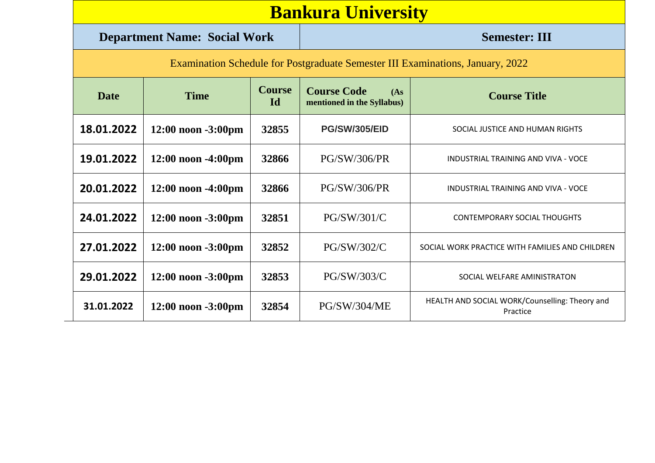| <b>Bankura University</b> |  |
|---------------------------|--|
|                           |  |

#### **Department Name: Social Work Semester: III**

| <b>Examination Schedule for Postgraduate Semester III Examinations, January, 2022</b> |  |
|---------------------------------------------------------------------------------------|--|
|                                                                                       |  |

| <b>Date</b> | <b>Time</b>             | <b>Course</b><br><b>Id</b> | <b>Course Code</b><br>(As<br>mentioned in the Syllabus) | <b>Course Title</b>                                        |
|-------------|-------------------------|----------------------------|---------------------------------------------------------|------------------------------------------------------------|
| 18.01.2022  | $12:00$ noon $-3:00$ pm | 32855                      | <b>PG/SW/305/EID</b>                                    | SOCIAL JUSTICE AND HUMAN RIGHTS                            |
| 19.01.2022  | $12:00$ noon $-4:00$ pm | 32866                      | <b>PG/SW/306/PR</b>                                     | INDUSTRIAL TRAINING AND VIVA - VOCE                        |
| 20.01.2022  | $12:00$ noon $-4:00$ pm | 32866                      | <b>PG/SW/306/PR</b>                                     | INDUSTRIAL TRAINING AND VIVA - VOCE                        |
| 24.01.2022  | $12:00$ noon $-3:00$ pm | 32851                      | PG/SW/301/C                                             | <b>CONTEMPORARY SOCIAL THOUGHTS</b>                        |
| 27.01.2022  | $12:00$ noon $-3:00$ pm | 32852                      | PG/SW/302/C                                             | SOCIAL WORK PRACTICE WITH FAMILIES AND CHILDREN            |
| 29.01.2022  | $12:00$ noon $-3:00$ pm | 32853                      | PG/SW/303/C                                             | SOCIAL WELFARE AMINISTRATON                                |
| 31.01.2022  | $12:00$ noon $-3:00$ pm | 32854                      | <b>PG/SW/304/ME</b>                                     | HEALTH AND SOCIAL WORK/Counselling: Theory and<br>Practice |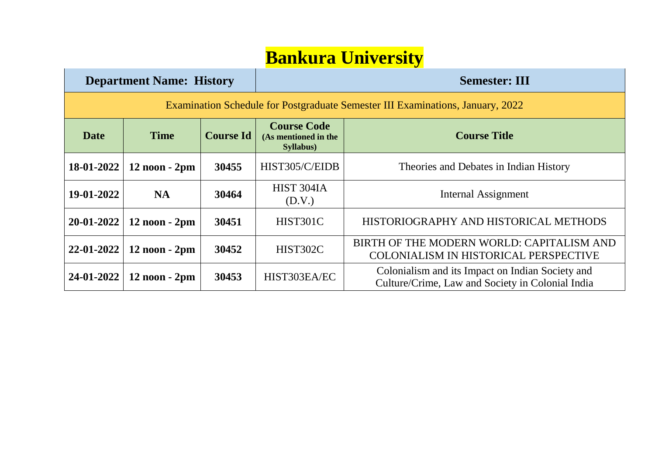# **Bankura University**

| <b>Department Name: History</b>                                                |                   |                  | <b>Semester: III</b>                                            |                                                                                                      |  |  |
|--------------------------------------------------------------------------------|-------------------|------------------|-----------------------------------------------------------------|------------------------------------------------------------------------------------------------------|--|--|
| Examination Schedule for Postgraduate Semester III Examinations, January, 2022 |                   |                  |                                                                 |                                                                                                      |  |  |
| <b>Date</b>                                                                    | <b>Time</b>       | <b>Course Id</b> | <b>Course Code</b><br>(As mentioned in the<br><b>Syllabus</b> ) | <b>Course Title</b>                                                                                  |  |  |
| $18-01-2022$                                                                   | $12$ noon $-2$ pm | 30455            | HIST305/C/EIDB                                                  | Theories and Debates in Indian History                                                               |  |  |
| 19-01-2022                                                                     | <b>NA</b>         | 30464            | HIST 304IA<br>(D.V.)                                            | Internal Assignment                                                                                  |  |  |
| $20 - 01 - 2022$                                                               | $12$ noon $-2$ pm | 30451            | HIST301C                                                        | HISTORIOGRAPHY AND HISTORICAL METHODS                                                                |  |  |
| $22 - 01 - 2022$                                                               | $12$ noon $-2$ pm | 30452            | HIST302C                                                        | BIRTH OF THE MODERN WORLD: CAPITALISM AND<br>COLONIALISM IN HISTORICAL PERSPECTIVE                   |  |  |
| $24-01-2022$                                                                   | $12$ noon $-2$ pm | 30453            | HIST303EA/EC                                                    | Colonialism and its Impact on Indian Society and<br>Culture/Crime, Law and Society in Colonial India |  |  |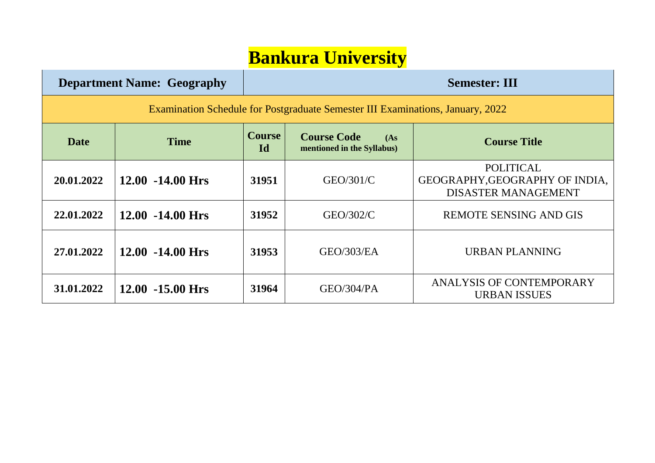### **Bankura University**

|                                                                                | <b>Department Name: Geography</b> | <b>Semester: III</b>       |                                                         |                                                                                  |  |
|--------------------------------------------------------------------------------|-----------------------------------|----------------------------|---------------------------------------------------------|----------------------------------------------------------------------------------|--|
| Examination Schedule for Postgraduate Semester III Examinations, January, 2022 |                                   |                            |                                                         |                                                                                  |  |
| Date                                                                           | <b>Time</b>                       | <b>Course</b><br><b>Id</b> | <b>Course Code</b><br>(As<br>mentioned in the Syllabus) | <b>Course Title</b>                                                              |  |
| 20.01.2022                                                                     | $12.00 - 14.00$ Hrs               | 31951                      | GEO/301/C                                               | <b>POLITICAL</b><br>GEOGRAPHY, GEOGRAPHY OF INDIA,<br><b>DISASTER MANAGEMENT</b> |  |
| 22.01.2022                                                                     | $12.00 - 14.00$ Hrs               | 31952                      | GEO/302/C                                               | <b>REMOTE SENSING AND GIS</b>                                                    |  |
| 27.01.2022                                                                     | $12.00 - 14.00$ Hrs               | 31953                      | GEO/303/EA                                              | URBAN PLANNING                                                                   |  |
| 31.01.2022                                                                     | $12.00 - 15.00$ Hrs               | 31964                      | GEO/304/PA                                              | ANALYSIS OF CONTEMPORARY<br><b>URBAN ISSUES</b>                                  |  |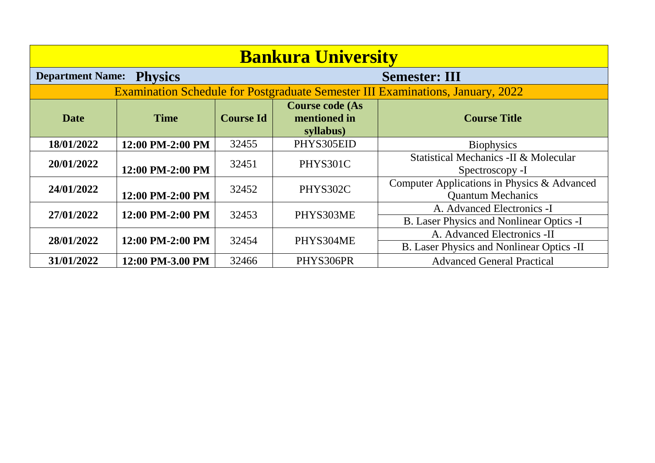| <b>Bankura University</b>                                         |                  |                  |                                                     |                                                                                       |  |
|-------------------------------------------------------------------|------------------|------------------|-----------------------------------------------------|---------------------------------------------------------------------------------------|--|
| <b>Department Name:</b><br><b>Physics</b><br><b>Semester: III</b> |                  |                  |                                                     |                                                                                       |  |
|                                                                   |                  |                  |                                                     | <b>Examination Schedule for Postgraduate Semester III Examinations, January, 2022</b> |  |
| <b>Date</b>                                                       | <b>Time</b>      | <b>Course Id</b> | <b>Course code (As</b><br>mentioned in<br>syllabus) | <b>Course Title</b>                                                                   |  |
| 18/01/2022                                                        | 12:00 PM-2:00 PM | 32455            | PHYS305EID                                          | <b>Biophysics</b>                                                                     |  |
| 20/01/2022                                                        | 12:00 PM-2:00 PM | 32451            | PHYS301C                                            | Statistical Mechanics -II & Molecular<br>Spectroscopy -I                              |  |
| 24/01/2022                                                        | 12:00 PM-2:00 PM | 32452            | PHYS302C                                            | Computer Applications in Physics & Advanced<br><b>Quantum Mechanics</b>               |  |
| 27/01/2022                                                        | 12:00 PM-2:00 PM | 32453            | PHYS303ME                                           | A. Advanced Electronics -I<br>B. Laser Physics and Nonlinear Optics -I                |  |
| 28/01/2022                                                        | 12:00 PM-2:00 PM | 32454            | PHYS304ME                                           | A. Advanced Electronics -II<br>B. Laser Physics and Nonlinear Optics -II              |  |
| 31/01/2022                                                        | 12:00 PM-3.00 PM | 32466            | PHYS306PR                                           | <b>Advanced General Practical</b>                                                     |  |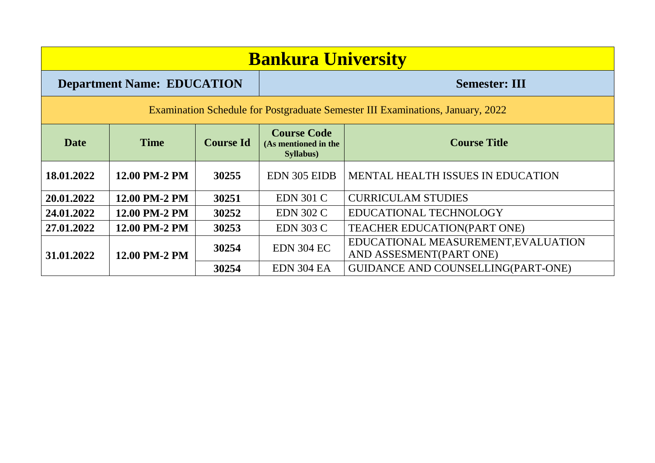| <b>Bankura University</b>                                                      |               |                  |                                                                                |                                                                |  |
|--------------------------------------------------------------------------------|---------------|------------------|--------------------------------------------------------------------------------|----------------------------------------------------------------|--|
| <b>Department Name: EDUCATION</b><br><b>Semester: III</b>                      |               |                  |                                                                                |                                                                |  |
| Examination Schedule for Postgraduate Semester III Examinations, January, 2022 |               |                  |                                                                                |                                                                |  |
| <b>Date</b>                                                                    | <b>Time</b>   | <b>Course Id</b> | <b>Course Code</b><br><b>Course Title</b><br>(As mentioned in the<br>Syllabus) |                                                                |  |
| 18.01.2022                                                                     | 12.00 PM-2 PM | 30255            | EDN 305 EIDB                                                                   | <b>MENTAL HEALTH ISSUES IN EDUCATION</b>                       |  |
| 20.01.2022                                                                     | 12.00 PM-2 PM | 30251            | <b>EDN 301 C</b>                                                               | <b>CURRICULAM STUDIES</b>                                      |  |
| 24.01.2022                                                                     | 12.00 PM-2 PM | 30252            | <b>EDN 302 C</b>                                                               | EDUCATIONAL TECHNOLOGY                                         |  |
| 27.01.2022                                                                     | 12.00 PM-2 PM | 30253            | <b>EDN 303 C</b>                                                               | TEACHER EDUCATION(PART ONE)                                    |  |
| 12.00 PM-2 PM<br>31.01.2022                                                    |               | 30254            | <b>EDN 304 EC</b>                                                              | EDUCATIONAL MEASUREMENT, EVALUATION<br>AND ASSESMENT(PART ONE) |  |
|                                                                                |               | 30254            | EDN 304 EA                                                                     | <b>GUIDANCE AND COUNSELLING(PART-ONE)</b>                      |  |